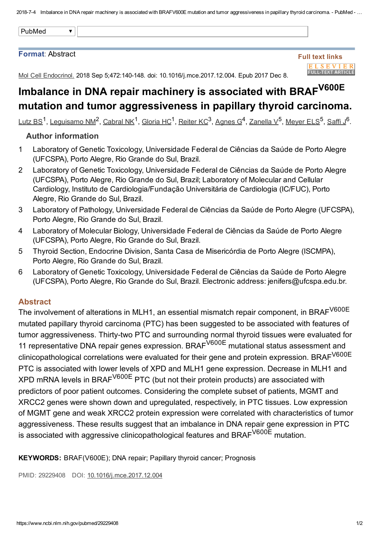#### Format: Abstract

#### Full text links **ELSEVIER FULL-TEXT ARTICLE**

Mol Cell Endocrinol. 2018 Sep 5;472:140-148. doi: 10.1016/j.mce.2017.12.004. Epub 2017 Dec 8.

# Imbalance in DNA repair machinery is associated with BRAF<sup>V600E</sup> mutation and tumor aggressiveness in papillary thyroid carcinoma.

[Lutz](https://www.ncbi.nlm.nih.gov/pubmed/?term=Lutz%20BS%5BAuthor%5D&cauthor=true&cauthor_uid=29229408) BS<sup>1</sup>, [Leguisamo](https://www.ncbi.nlm.nih.gov/pubmed/?term=Leguisamo%20NM%5BAuthor%5D&cauthor=true&cauthor_uid=29229408) NM<sup>2</sup>, [Cabral](https://www.ncbi.nlm.nih.gov/pubmed/?term=Cabral%20NK%5BAuthor%5D&cauthor=true&cauthor_uid=29229408) NK<sup>1</sup>, [Gloria](https://www.ncbi.nlm.nih.gov/pubmed/?term=Gloria%20HC%5BAuthor%5D&cauthor=true&cauthor_uid=29229408) HC<sup>1</sup>, [Reiter](https://www.ncbi.nlm.nih.gov/pubmed/?term=Reiter%20KC%5BAuthor%5D&cauthor=true&cauthor_uid=29229408) KC<sup>3</sup>, [Agnes](https://www.ncbi.nlm.nih.gov/pubmed/?term=Agnes%20G%5BAuthor%5D&cauthor=true&cauthor_uid=29229408) G<sup>4</sup>, [Zanella](https://www.ncbi.nlm.nih.gov/pubmed/?term=Zanella%20V%5BAuthor%5D&cauthor=true&cauthor_uid=29229408) V<sup>5</sup>, [Meyer](https://www.ncbi.nlm.nih.gov/pubmed/?term=Meyer%20ELS%5BAuthor%5D&cauthor=true&cauthor_uid=29229408) ELS<sup>5</sup>, [Saffi](https://www.ncbi.nlm.nih.gov/pubmed/?term=Saffi%20J%5BAuthor%5D&cauthor=true&cauthor_uid=29229408) J<sup>6</sup>.

### Author information

- 1 Laboratory of Genetic Toxicology, Universidade Federal de Ciências da Saúde de Porto Alegre (UFCSPA), Porto Alegre, Rio Grande do Sul, Brazil.
- 2 Laboratory of Genetic Toxicology, Universidade Federal de Ciências da Saúde de Porto Alegre (UFCSPA), Porto Alegre, Rio Grande do Sul, Brazil; Laboratory of Molecular and Cellular Cardiology, Instituto de Cardiologia/Fundação Universitária de Cardiologia (IC/FUC), Porto Alegre, Rio Grande do Sul, Brazil.
- 3 Laboratory of Pathology, Universidade Federal de Ciências da Saúde de Porto Alegre (UFCSPA), Porto Alegre, Rio Grande do Sul, Brazil.
- 4 Laboratory of Molecular Biology, Universidade Federal de Ciências da Saúde de Porto Alegre (UFCSPA), Porto Alegre, Rio Grande do Sul, Brazil.
- 5 Thyroid Section, Endocrine Division, Santa Casa de Misericórdia de Porto Alegre (ISCMPA), Porto Alegre, Rio Grande do Sul, Brazil.
- 6 Laboratory of Genetic Toxicology, Universidade Federal de Ciências da Saúde de Porto Alegre (UFCSPA), Porto Alegre, Rio Grande do Sul, Brazil. Electronic address: jenifers@ufcspa.edu.br.

## Abstract

The involvement of alterations in MLH1, an essential mismatch repair component, in BRAF<sup>V600E</sup> mutated papillary thyroid carcinoma (PTC) has been suggested to be associated with features of tumor aggressiveness. Thirty-two PTC and surrounding normal thyroid tissues were evaluated for 11 representative DNA repair genes expression. BRAF<sup>V600E</sup> mutational status assessment and clinicopathological correlations were evaluated for their gene and protein expression. BRAF<sup>V600E</sup> PTC is associated with lower levels of XPD and MLH1 gene expression. Decrease in MLH1 and XPD mRNA levels in BRAF<sup>V600E</sup> PTC (but not their protein products) are associated with predictors of poor patient outcomes. Considering the complete subset of patients, MGMT and XRCC2 genes were shown down and upregulated, respectively, in PTC tissues. Low expression of MGMT gene and weak XRCC2 protein expression were correlated with characteristics of tumor aggressiveness. These results suggest that an imbalance in DNA repair gene expression in PTC is associated with aggressive clinicopathological features and BRAF<sup>V600E</sup> mutation.

KEYWORDS: BRAF(V600E); DNA repair; Papillary thyroid cancer; Prognosis

PMID: 29229408 DOI: [10.1016/j.mce.2017.12.004](https://doi.org/10.1016/j.mce.2017.12.004)